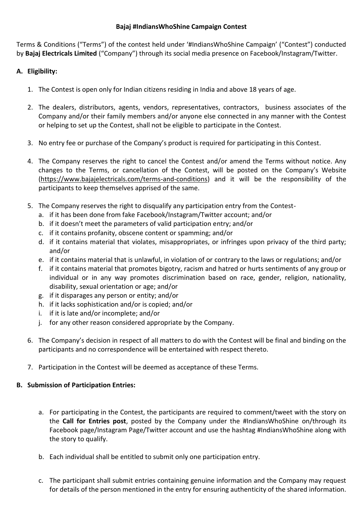# **Bajaj #IndiansWhoShine Campaign Contest**

Terms & Conditions ("Terms") of the contest held under '#IndiansWhoShine Campaign' ("Contest") conducted by **Bajaj Electricals Limited** ("Company") through its social media presence on Facebook/Instagram/Twitter.

# **A. Eligibility:**

- 1. The Contest is open only for Indian citizens residing in India and above 18 years of age.
- 2. The dealers, distributors, agents, vendors, representatives, contractors, business associates of the Company and/or their family members and/or anyone else connected in any manner with the Contest or helping to set up the Contest, shall not be eligible to participate in the Contest.
- 3. No entry fee or purchase of the Company's product is required for participating in this Contest.
- 4. The Company reserves the right to cancel the Contest and/or amend the Terms without notice. Any changes to the Terms, or cancellation of the Contest, will be posted on the Company's Website [\(https://www.bajajelectricals.com/terms-and-conditions\)](https://www.bajajelectricals.com/terms-and-conditions) and it will be the responsibility of the participants to keep themselves apprised of the same.
- 5. The Company reserves the right to disqualify any participation entry from the Contest
	- a. if it has been done from fake Facebook/Instagram/Twitter account; and/or
	- b. if it doesn't meet the parameters of valid participation entry; and/or
	- c. if it contains profanity, obscene content or spamming; and/or
	- d. if it contains material that violates, misappropriates, or infringes upon privacy of the third party; and/or
	- e. if it contains material that is unlawful, in violation of or contrary to the laws or regulations; and/or
	- f. if it contains material that promotes bigotry, racism and hatred or hurts sentiments of any group or individual or in any way promotes discrimination based on race, gender, religion, nationality, disability, sexual orientation or age; and/or
	- g. if it disparages any person or entity; and/or
	- h. if it lacks sophistication and/or is copied; and/or
	- i. if it is late and/or incomplete; and/or
	- j. for any other reason considered appropriate by the Company.
- 6. The Company's decision in respect of all matters to do with the Contest will be final and binding on the participants and no correspondence will be entertained with respect thereto.
- 7. Participation in the Contest will be deemed as acceptance of these Terms.

# **B. Submission of Participation Entries:**

- a. For participating in the Contest, the participants are required to comment/tweet with the story on the **Call for Entries post**, posted by the Company under the #IndiansWhoShine on/through its Facebook page/Instagram Page/Twitter account and use the hashtag #IndiansWhoShine along with the story to qualify.
- b. Each individual shall be entitled to submit only one participation entry.
- c. The participant shall submit entries containing genuine information and the Company may request for details of the person mentioned in the entry for ensuring authenticity of the shared information.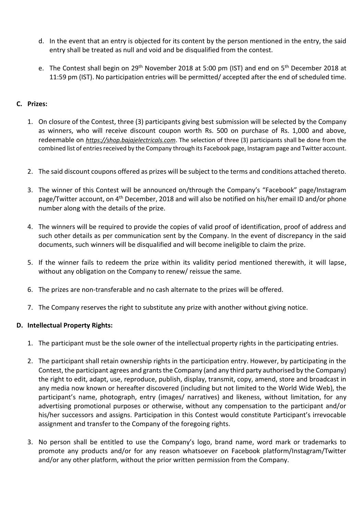- d. In the event that an entry is objected for its content by the person mentioned in the entry, the said entry shall be treated as null and void and be disqualified from the contest.
- e. The Contest shall begin on 29<sup>th</sup> November 2018 at 5:00 pm (IST) and end on 5<sup>th</sup> December 2018 at 11:59 pm (IST). No participation entries will be permitted/ accepted after the end of scheduled time.

# **C. Prizes:**

- 1. On closure of the Contest, three (3) participants giving best submission will be selected by the Company as winners, who will receive discount coupon worth Rs. 500 on purchase of Rs. 1,000 and above, redeemable on *[https://shop.bajajelectricals.com](https://www.google.com/url?sa=t&rct=j&q=&esrc=s&source=web&cd=1&cad=rja&uact=8&ved=2ahUKEwjZrKqrprPeAhVXTn0KHfJMAEYQFjAAegQIARAC&url=https%3A%2F%2Fshop.bajajelectricals.com%2F&usg=AOvVaw3NExXKWpZoYnRBX1IOkvsF)*. The selection of three (3) participants shall be done from the combined list of entries received by the Company through its Facebook page, Instagram page and Twitter account.
- 2. The said discount coupons offered as prizes will be subject to the terms and conditions attached thereto.
- 3. The winner of this Contest will be announced on/through the Company's "Facebook" page/Instagram page/Twitter account, on 4<sup>th</sup> December, 2018 and will also be notified on his/her email ID and/or phone number along with the details of the prize.
- 4. The winners will be required to provide the copies of valid proof of identification, proof of address and such other details as per communication sent by the Company. In the event of discrepancy in the said documents, such winners will be disqualified and will become ineligible to claim the prize.
- 5. If the winner fails to redeem the prize within its validity period mentioned therewith, it will lapse, without any obligation on the Company to renew/ reissue the same.
- 6. The prizes are non-transferable and no cash alternate to the prizes will be offered.
- 7. The Company reserves the right to substitute any prize with another without giving notice.

# **D. Intellectual Property Rights:**

- 1. The participant must be the sole owner of the intellectual property rights in the participating entries.
- 2. The participant shall retain ownership rights in the participation entry. However, by participating in the Contest, the participant agrees and grants the Company (and any third party authorised by the Company) the right to edit, adapt, use, reproduce, publish, display, transmit, copy, amend, store and broadcast in any media now known or hereafter discovered (including but not limited to the World Wide Web), the participant's name, photograph, entry (images/ narratives) and likeness, without limitation, for any advertising promotional purposes or otherwise, without any compensation to the participant and/or his/her successors and assigns. Participation in this Contest would constitute Participant's irrevocable assignment and transfer to the Company of the foregoing rights.
- 3. No person shall be entitled to use the Company's logo, brand name, word mark or trademarks to promote any products and/or for any reason whatsoever on Facebook platform/Instagram/Twitter and/or any other platform, without the prior written permission from the Company.